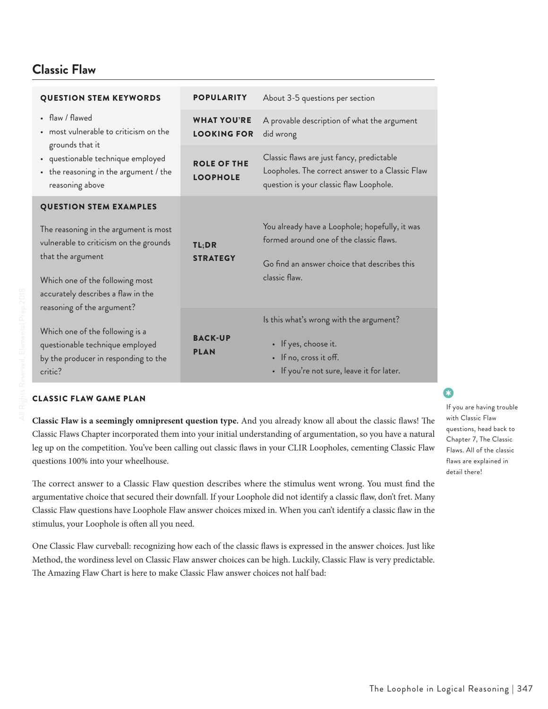# **Classic Flaw**

| <b>QUESTION STEM KEYWORDS</b>                                                                                                                                                                                  | <b>POPULARITY</b>                        | About 3-5 questions per section                                                                                                                            |
|----------------------------------------------------------------------------------------------------------------------------------------------------------------------------------------------------------------|------------------------------------------|------------------------------------------------------------------------------------------------------------------------------------------------------------|
| • flaw / flawed<br>• most vulnerable to criticism on the<br>grounds that it<br>· questionable technique employed<br>• the reasoning in the argument / the<br>reasoning above                                   | <b>WHAT YOU'RE</b><br><b>LOOKING FOR</b> | A provable description of what the argument<br>did wrong                                                                                                   |
|                                                                                                                                                                                                                | <b>ROLE OF THE</b><br><b>LOOPHOLE</b>    | Classic flaws are just fancy, predictable<br>Loopholes. The correct answer to a Classic Flaw<br>question is your classic flaw Loophole.                    |
| <b>QUESTION STEM EXAMPLES</b><br>The reasoning in the argument is most<br>vulnerable to criticism on the grounds<br>that the argument<br>Which one of the following most<br>accurately describes a flaw in the | TL;DR<br><b>STRATEGY</b>                 | You already have a Loophole; hopefully, it was<br>formed around one of the classic flaws.<br>Go find an answer choice that describes this<br>classic flaw. |
| reasoning of the argument?<br>Which one of the following is a<br>questionable technique employed<br>by the producer in responding to the<br>critic?                                                            | <b>BACK-UP</b><br><b>PLAN</b>            | Is this what's wrong with the argument?<br>• If yes, choose it.<br>• If no, cross it off.<br>• If you're not sure, leave it for later.                     |

## CLASSIC FLAW GAME PLAN

**Classic Flaw is a seemingly omnipresent question type.** And you already know all about the classic flaws! The Classic Flaws Chapter incorporated them into your initial understanding of argumentation, so you have a natural leg up on the competition. You've been calling out classic flaws in your CLIR Loopholes, cementing Classic Flaw questions 100% into your wheelhouse.

The correct answer to a Classic Flaw question describes where the stimulus went wrong. You must find the argumentative choice that secured their downfall. If your Loophole did not identify a classic flaw, don't fret. Many Classic Flaw questions have Loophole Flaw answer choices mixed in. When you can't identify a classic flaw in the stimulus, your Loophole is often all you need.

One Classic Flaw curveball: recognizing how each of the classic flaws is expressed in the answer choices. Just like Method, the wordiness level on Classic Flaw answer choices can be high. Luckily, Classic Flaw is very predictable. The Amazing Flaw Chart is here to make Classic Flaw answer choices not half bad:

#### G. •

If you are having trouble with Classic Flaw questions, head back to Chapter 7, The Classic Flaws. All of the classic flaws are explained in detail there!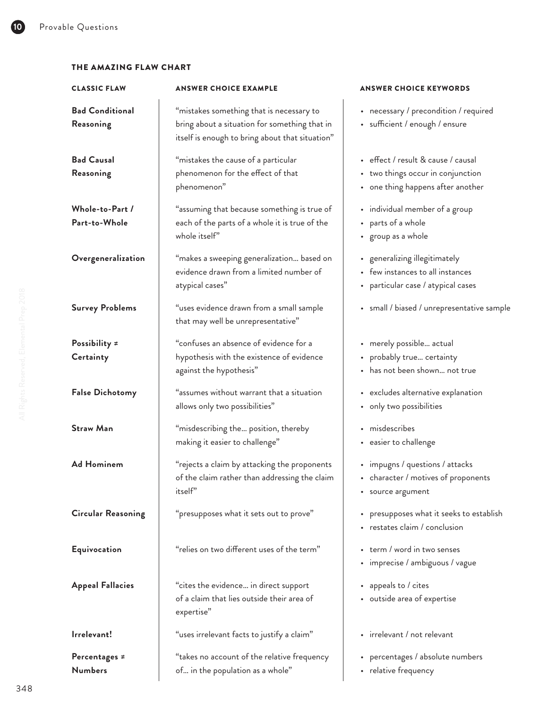# THE AMAZING FLAW CHART

| <b>CLASSIC FLAW</b>       | <b>ANSWER CHOICE EXAMPLE</b>                                                                     | <b>ANSWER CHOICE KEYWORDS</b>                              |
|---------------------------|--------------------------------------------------------------------------------------------------|------------------------------------------------------------|
| <b>Bad Conditional</b>    | "mistakes something that is necessary to                                                         | • necessary / precondition / required                      |
| Reasoning                 | bring about a situation for something that in<br>itself is enough to bring about that situation" | • sufficient / enough / ensure                             |
| <b>Bad Causal</b>         | "mistakes the cause of a particular                                                              | • effect / result & cause / causal                         |
| Reasoning                 | phenomenon for the effect of that                                                                | • two things occur in conjunction                          |
|                           | phenomenon"                                                                                      | • one thing happens after another                          |
| Whole-to-Part /           | "assuming that because something is true of                                                      | • individual member of a group                             |
| Part-to-Whole             | each of the parts of a whole it is true of the                                                   | • parts of a whole                                         |
|                           | whole itself"                                                                                    | • group as a whole                                         |
| Overgeneralization        | "makes a sweeping generalization based on                                                        | • generalizing illegitimately                              |
|                           | evidence drawn from a limited number of                                                          | • few instances to all instances                           |
|                           | atypical cases"                                                                                  | • particular case / atypical cases                         |
| <b>Survey Problems</b>    | "uses evidence drawn from a small sample<br>that may well be unrepresentative"                   | • small / biased / unrepresentative sample                 |
|                           |                                                                                                  |                                                            |
| Possibility $\neq$        | "confuses an absence of evidence for a                                                           | • merely possible actual                                   |
| Certainty                 | hypothesis with the existence of evidence                                                        | • probably true certainty<br>• has not been shown not true |
|                           | against the hypothesis"                                                                          |                                                            |
| <b>False Dichotomy</b>    | "assumes without warrant that a situation                                                        | • excludes alternative explanation                         |
|                           | allows only two possibilities"                                                                   | • only two possibilities                                   |
| <b>Straw Man</b>          | "misdescribing the position, thereby                                                             | • misdescribes                                             |
|                           | making it easier to challenge"                                                                   | • easier to challenge                                      |
| <b>Ad Hominem</b>         | "rejects a claim by attacking the proponents                                                     | • impugns / questions / attacks                            |
|                           | of the claim rather than addressing the claim                                                    | • character / motives of proponents                        |
|                           | itself"                                                                                          | • source argument                                          |
| <b>Circular Reasoning</b> | "presupposes what it sets out to prove"                                                          | • presupposes what it seeks to establish                   |
|                           |                                                                                                  | restates claim / conclusion                                |
| Equivocation              | "relies on two different uses of the term"                                                       | • term / word in two senses                                |
|                           |                                                                                                  | • imprecise / ambiguous / vague                            |
| <b>Appeal Fallacies</b>   | "cites the evidence in direct support                                                            | • appeals to / cites                                       |
|                           | of a claim that lies outside their area of<br>expertise"                                         | • outside area of expertise                                |
| Irrelevant!               | "uses irrelevant facts to justify a claim"                                                       | • irrelevant / not relevant                                |
| Percentages $\neq$        | "takes no account of the relative frequency                                                      | percentages / absolute numbers                             |
| <b>Numbers</b>            | of in the population as a whole"                                                                 | • relative frequency                                       |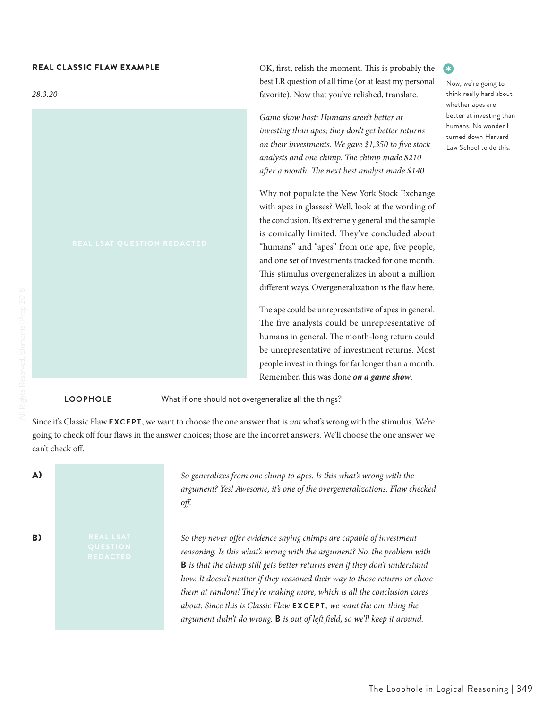### REAL CLASSIC FLAW EXAMPLE

*28.3.20*



OK, first, relish the moment. This is probably the best LR question of all time (or at least my personal favorite). Now that you've relished, translate.

*Game show host: Humans aren't better at investing than apes; they don't get better returns on their investments. We gave \$1,350 to five stock analysts and one chimp. The chimp made \$210 after a month. The next best analyst made \$140.* 

Why not populate the New York Stock Exchange with apes in glasses? Well, look at the wording of the conclusion. It's extremely general and the sample is comically limited. They've concluded about "humans" and "apes" from one ape, five people, and one set of investments tracked for one month. This stimulus overgeneralizes in about a million different ways. Overgeneralization is the flaw here.

The ape could be unrepresentative of apes in general. The five analysts could be unrepresentative of humans in general. The month-long return could be unrepresentative of investment returns. Most people invest in things for far longer than a month. Remember, this was done *on a game show*.

**LOOPHOLE** What if one should not overgeneralize all the things?

Since it's Classic Flaw **e xc e p t** , we want to choose the one answer that is *not* what's wrong with the stimulus. We're going to check off four flaws in the answer choices; those are the incorret answers. We'll choose the one answer we can't check off.

 $\lambda$ ) and the conclusion is defined about  $\lambda$ *So generalizes from one chimp to apes. Is this what's wrong with the argument? Yes! Awesome, it's one of the overgeneralizations. Flaw checked off.*  **B)** REAL LSAT *So they never offer evidence saying chimps are capable of investment reasoning. Is this what's wrong with the argument? No, the problem with*  **B** *is that the chimp still gets better returns even if they don't understand how. It doesn't matter if they reasoned their way to those returns or chose them at random! They're making more, which is all the conclusion cares about. Since this is Classic Flaw* **e xc e p t** *, we want the one thing the argument didn't do wrong.* **B** *is out of left field, so we'll keep it around.* 

# • Now, we're going to

think really hard about whether apes are better at investing than humans. No wonder I turned down Harvard Law School to do this.